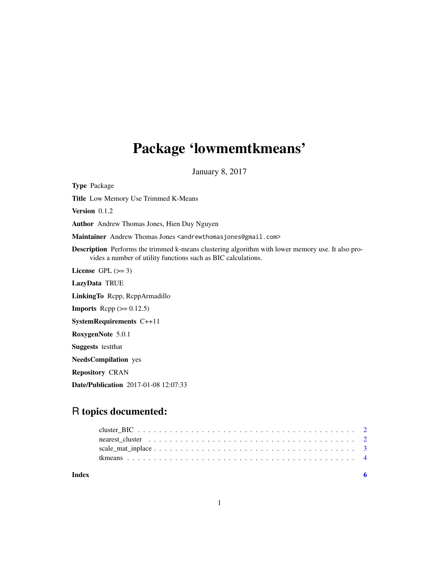## Package 'lowmemtkmeans'

January 8, 2017

Type Package Title Low Memory Use Trimmed K-Means Version 0.1.2 Author Andrew Thomas Jones, Hien Duy Nguyen Maintainer Andrew Thomas Jones <andrewthomasjones@gmail.com> Description Performs the trimmed k-means clustering algorithm with lower memory use. It also provides a number of utility functions such as BIC calculations. License GPL  $(>= 3)$ LazyData TRUE LinkingTo Rcpp, RcppArmadillo **Imports** Rcpp  $(>= 0.12.5)$ SystemRequirements C++11 RoxygenNote 5.0.1 Suggests testthat NeedsCompilation yes Repository CRAN

Date/Publication 2017-01-08 12:07:33

### R topics documented:

| Index |  |
|-------|--|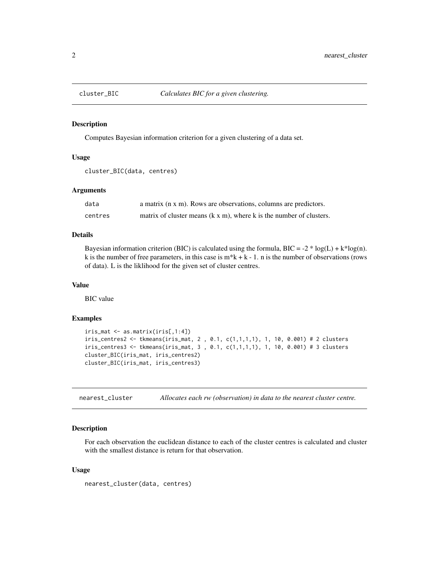<span id="page-1-0"></span>

#### Description

Computes Bayesian information criterion for a given clustering of a data set.

#### Usage

```
cluster_BIC(data, centres)
```
#### Arguments

| data    | a matrix (n x m). Rows are observations, columns are predictors.            |
|---------|-----------------------------------------------------------------------------|
| centres | matrix of cluster means $(k \times m)$ , where k is the number of clusters. |

#### Details

Bayesian information criterion (BIC) is calculated using the formula, BIC = -2  $*$  log(L) + k $*$ log(n). k is the number of free parameters, in this case is  $m*k + k - 1$ . n is the number of observations (rows of data). L is the liklihood for the given set of cluster centres.

#### Value

BIC value

#### Examples

```
iris_mat <- as.matrix(iris[,1:4])
iris_centres2 <- tkmeans(iris_mat, 2 , 0.1, c(1,1,1,1), 1, 10, 0.001) # 2 clusters
iris_centres3 <- tkmeans(iris_mat, 3 , 0.1, c(1,1,1,1), 1, 10, 0.001) # 3 clusters
cluster_BIC(iris_mat, iris_centres2)
cluster_BIC(iris_mat, iris_centres3)
```
nearest\_cluster *Allocates each rw (observation) in data to the nearest cluster centre.*

#### Description

For each observation the euclidean distance to each of the cluster centres is calculated and cluster with the smallest distance is return for that observation.

#### Usage

```
nearest_cluster(data, centres)
```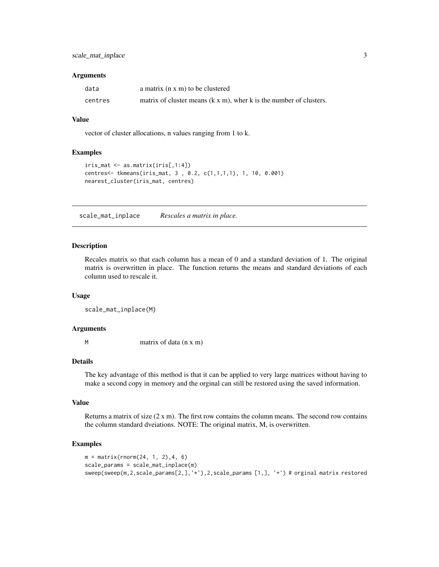#### <span id="page-2-0"></span>scale\_mat\_inplace 3

#### **Arguments**

| data    | a matrix $(n \times m)$ to be clustered                                    |
|---------|----------------------------------------------------------------------------|
| centres | matrix of cluster means $(k \times m)$ , wher k is the number of clusters. |

#### Value

vector of cluster allocations, n values ranging from 1 to k.

#### Examples

```
iris_mat <- as.matrix(iris[,1:4])
centres<- tkmeans(iris_mat, 3 , 0.2, c(1,1,1,1), 1, 10, 0.001)
nearest_cluster(iris_mat, centres)
```
scale\_mat\_inplace *Rescales a matrix in place.*

#### Description

Recales matrix so that each column has a mean of 0 and a standard deviation of 1. The original matrix is overwritten in place. The function returns the means and standard deviations of each column used to rescale it.

#### Usage

```
scale_mat_inplace(M)
```
#### **Arguments**

M matrix of data (n x m)

#### Details

The key advantage of this method is that it can be applied to very large matrices without having to make a second copy in memory and the orginal can still be restored using the saved information.

#### Value

Returns a matrix of size  $(2 \times m)$ . The first row contains the column means. The second row contains the column standard dveiations. NOTE: The original matrix, M, is overwritten.

#### Examples

```
m = matrix(rnorm(24, 1, 2), 4, 6)scale_params = scale_mat_inplace(m)
sweep(sweep(m,2,scale_params[2,],'*'),2,scale_params [1,], '+') # orginal matrix restored
```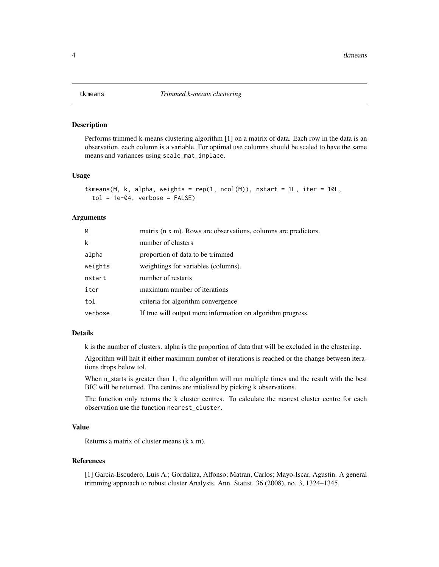<span id="page-3-0"></span>

#### Description

Performs trimmed k-means clustering algorithm [1] on a matrix of data. Each row in the data is an observation, each column is a variable. For optimal use columns should be scaled to have the same means and variances using scale\_mat\_inplace.

#### Usage

```
tkmeans(M, k, alpha, weights = rep(1, ncol(M)), nstart = 1L, iter = 10L,
  tol = 1e-04, verbose = FALSE)
```
#### Arguments

| M       | matrix (n x m). Rows are observations, columns are predictors. |
|---------|----------------------------------------------------------------|
| k       | number of clusters                                             |
| alpha   | proportion of data to be trimmed                               |
| weights | weightings for variables (columns).                            |
| nstart  | number of restarts                                             |
| iter    | maximum number of iterations                                   |
| tol     | criteria for algorithm convergence                             |
| verbose | If true will output more information on algorithm progress.    |

#### Details

k is the number of clusters. alpha is the proportion of data that will be excluded in the clustering.

Algorithm will halt if either maximum number of iterations is reached or the change between iterations drops below tol.

When n\_starts is greater than 1, the algorithm will run multiple times and the result with the best BIC will be returned. The centres are intialised by picking k observations.

The function only returns the k cluster centres. To calculate the nearest cluster centre for each observation use the function nearest\_cluster.

#### Value

Returns a matrix of cluster means (k x m).

#### References

[1] Garcia-Escudero, Luis A.; Gordaliza, Alfonso; Matran, Carlos; Mayo-Iscar, Agustin. A general trimming approach to robust cluster Analysis. Ann. Statist. 36 (2008), no. 3, 1324–1345.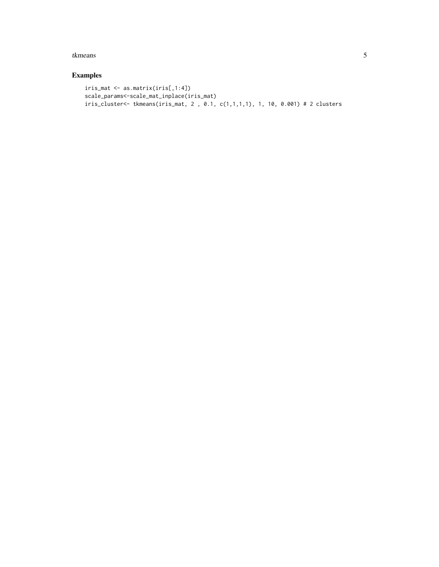#### tkmeans 5

#### Examples

```
iris_mat <- as.matrix(iris[,1:4])
scale_params<-scale_mat_inplace(iris_mat)
iris_cluster<- tkmeans(iris_mat, 2 , 0.1, c(1,1,1,1), 1, 10, 0.001) # 2 clusters
```